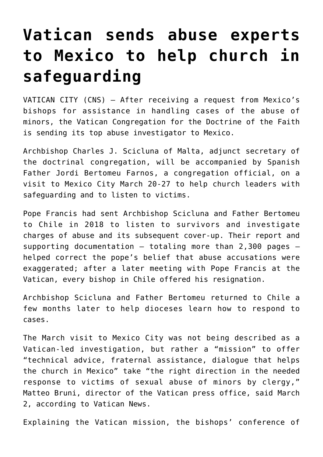## **[Vatican sends abuse experts](https://www.osvnews.com/2020/03/03/vatican-sends-abuse-experts-to-mexico-to-help-church-in-safeguarding/) [to Mexico to help church in](https://www.osvnews.com/2020/03/03/vatican-sends-abuse-experts-to-mexico-to-help-church-in-safeguarding/) [safeguarding](https://www.osvnews.com/2020/03/03/vatican-sends-abuse-experts-to-mexico-to-help-church-in-safeguarding/)**

VATICAN CITY (CNS) — After receiving a request from Mexico's bishops for assistance in handling cases of the abuse of minors, the Vatican Congregation for the Doctrine of the Faith is sending its top abuse investigator to Mexico.

Archbishop Charles J. Scicluna of Malta, adjunct secretary of the doctrinal congregation, will be accompanied by Spanish Father Jordi Bertomeu Farnos, a congregation official, on a visit to Mexico City March 20-27 to help church leaders with safeguarding and to listen to victims.

Pope Francis had sent Archbishop Scicluna and Father Bertomeu to Chile in 2018 to listen to survivors and investigate charges of abuse and its subsequent cover-up. Their report and supporting documentation — totaling more than 2,300 pages helped correct the pope's belief that abuse accusations were exaggerated; after a later meeting with Pope Francis at the Vatican, every bishop in Chile offered his resignation.

Archbishop Scicluna and Father Bertomeu returned to Chile a few months later to help dioceses learn how to respond to cases.

The March visit to Mexico City was not being described as a Vatican-led investigation, but rather a "mission" to offer "technical advice, fraternal assistance, dialogue that helps the church in Mexico" take "the right direction in the needed response to victims of sexual abuse of minors by clergy," Matteo Bruni, director of the Vatican press office, said March 2, according to Vatican News.

Explaining the Vatican mission, the bishops' conference of